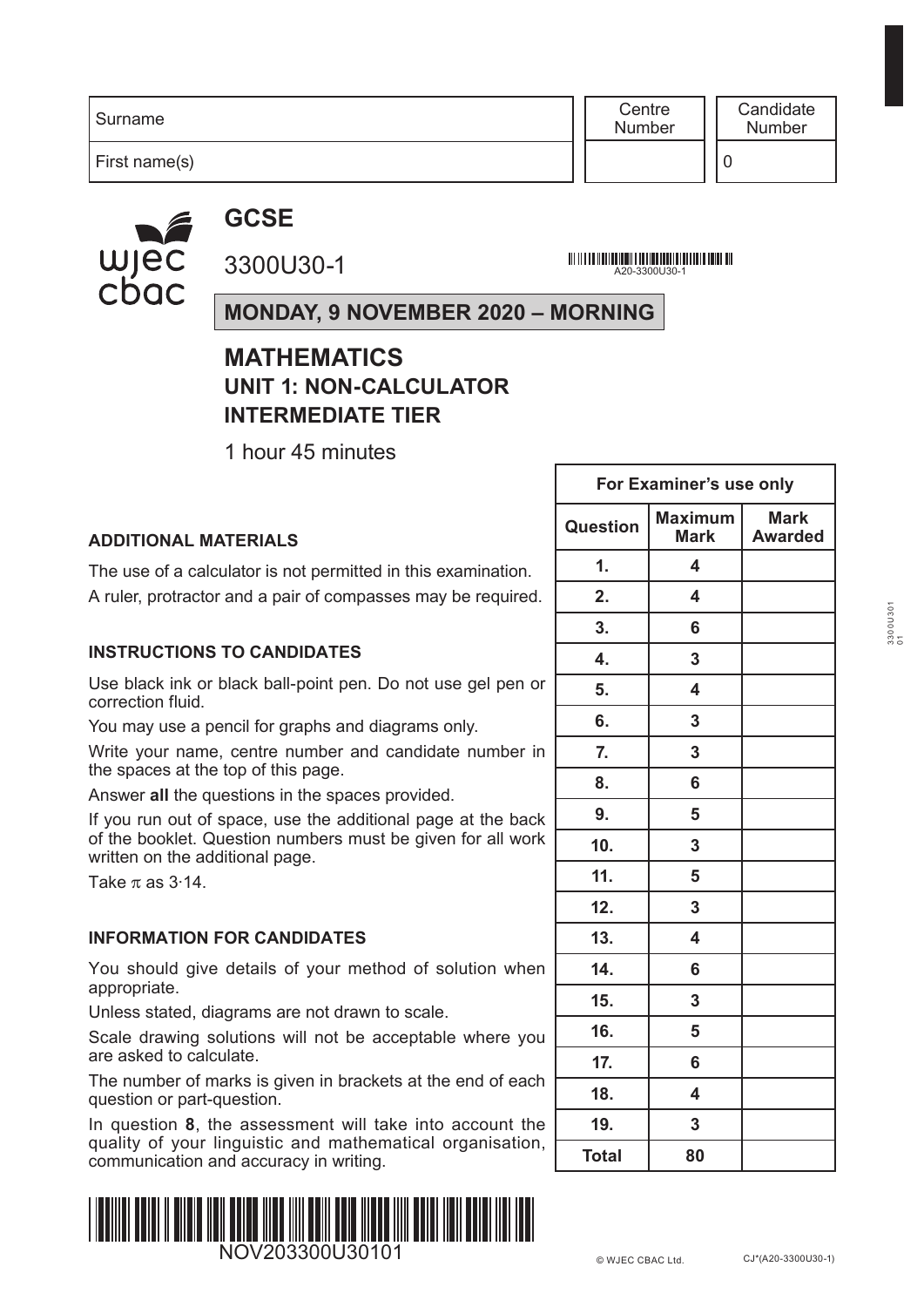**Centre** Number

First name(s)

wjec cbac

3300U30-1

**GCSE**

A20-3300U30-1

#### **MONDAY, 9 NOVEMBER 2020 – MORNING**

### **MATHEMATICS UNIT 1: NON-CALCULATOR INTERMEDIATE TIER**

1 hour 45 minutes

#### **ADDITIONAL MATERIALS**

The use of a calculator is not permitted in this examination. A ruler, protractor and a pair of compasses may be required.

#### **INSTRUCTIONS TO CANDIDATES**

Use black ink or black ball-point pen. Do not use gel pen or correction fluid.

You may use a pencil for graphs and diagrams only.

Write your name, centre number and candidate number in the spaces at the top of this page.

Answer **all** the questions in the spaces provided.

If you run out of space, use the additional page at the back of the booklet. Question numbers must be given for all work written on the additional page.

Take  $\pi$  as 3.14.

#### **INFORMATION FOR CANDIDATES**

You should give details of your method of solution when appropriate.

Unless stated, diagrams are not drawn to scale.

Scale drawing solutions will not be acceptable where you are asked to calculate.

The number of marks is given in brackets at the end of each question or part-question.

In question **8**, the assessment will take into account the quality of your linguistic and mathematical organisation, communication and accuracy in writing.



| For Examiner's use only |                               |                               |  |  |  |  |
|-------------------------|-------------------------------|-------------------------------|--|--|--|--|
| <b>Question</b>         | <b>Maximum</b><br><b>Mark</b> | <b>Mark</b><br><b>Awarded</b> |  |  |  |  |
| 1.                      | 4                             |                               |  |  |  |  |
| 2.                      | 4                             |                               |  |  |  |  |
| 3.                      | 6                             |                               |  |  |  |  |
| 4.                      | 3                             |                               |  |  |  |  |
| 5.                      | $\overline{\mathbf{4}}$       |                               |  |  |  |  |
| 6.                      | 3                             |                               |  |  |  |  |
| 7.                      | 3                             |                               |  |  |  |  |
| 8.                      | 6                             |                               |  |  |  |  |
| 9.                      | 5                             |                               |  |  |  |  |
| 10.                     | 3                             |                               |  |  |  |  |
| 11.                     | 5                             |                               |  |  |  |  |
| 12.                     | 3                             |                               |  |  |  |  |
| 13.                     | 4                             |                               |  |  |  |  |
| 14.                     | 6                             |                               |  |  |  |  |
| 15.                     | 3                             |                               |  |  |  |  |
| 16.                     | 5                             |                               |  |  |  |  |
| 17.                     | 6                             |                               |  |  |  |  |
| 18.                     | 4                             |                               |  |  |  |  |
| 19.                     | 3                             |                               |  |  |  |  |
| <b>Total</b>            | 80                            |                               |  |  |  |  |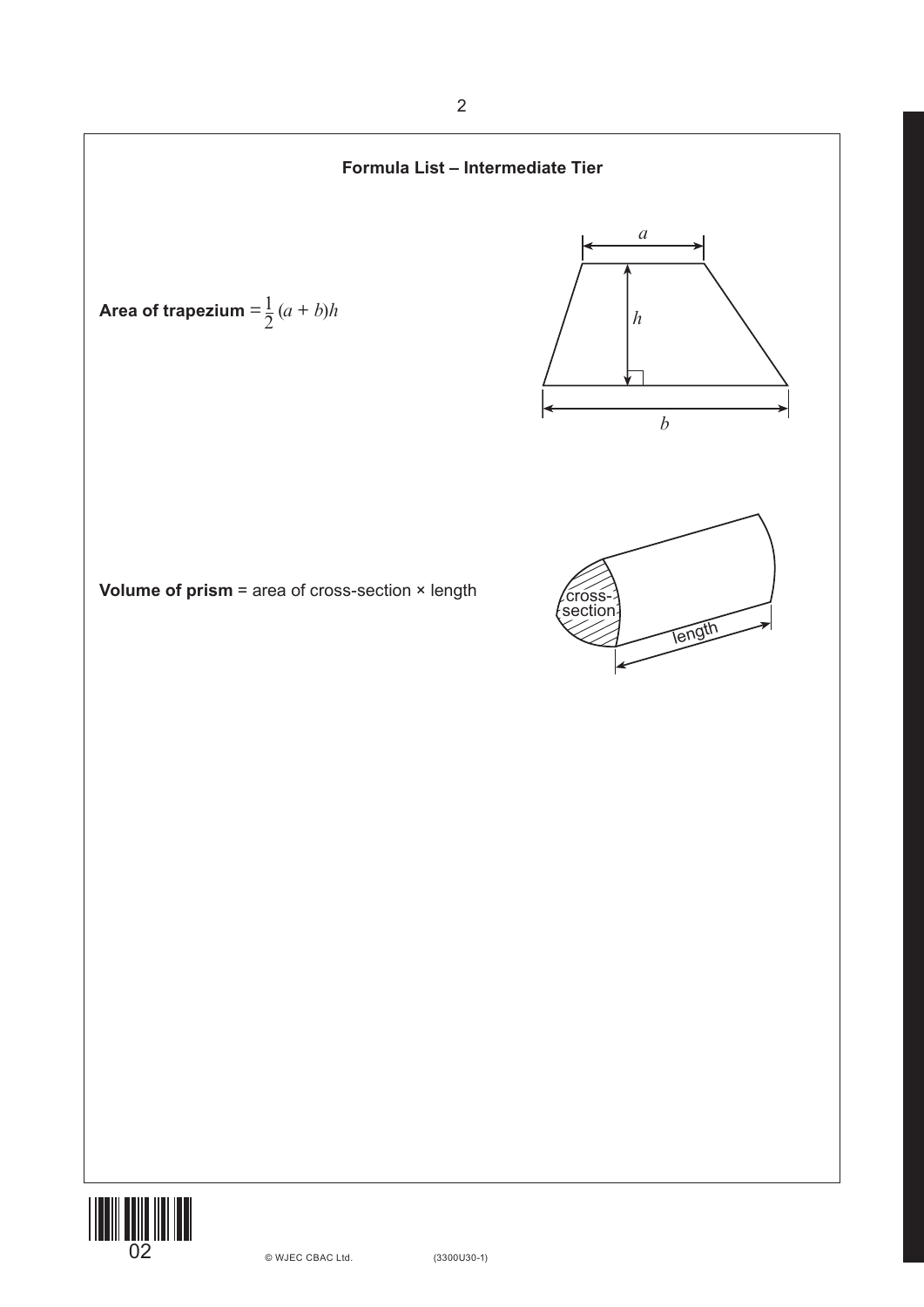

 $02$   $\circ$  WJEC CBAC Ltd. (3300U30-1)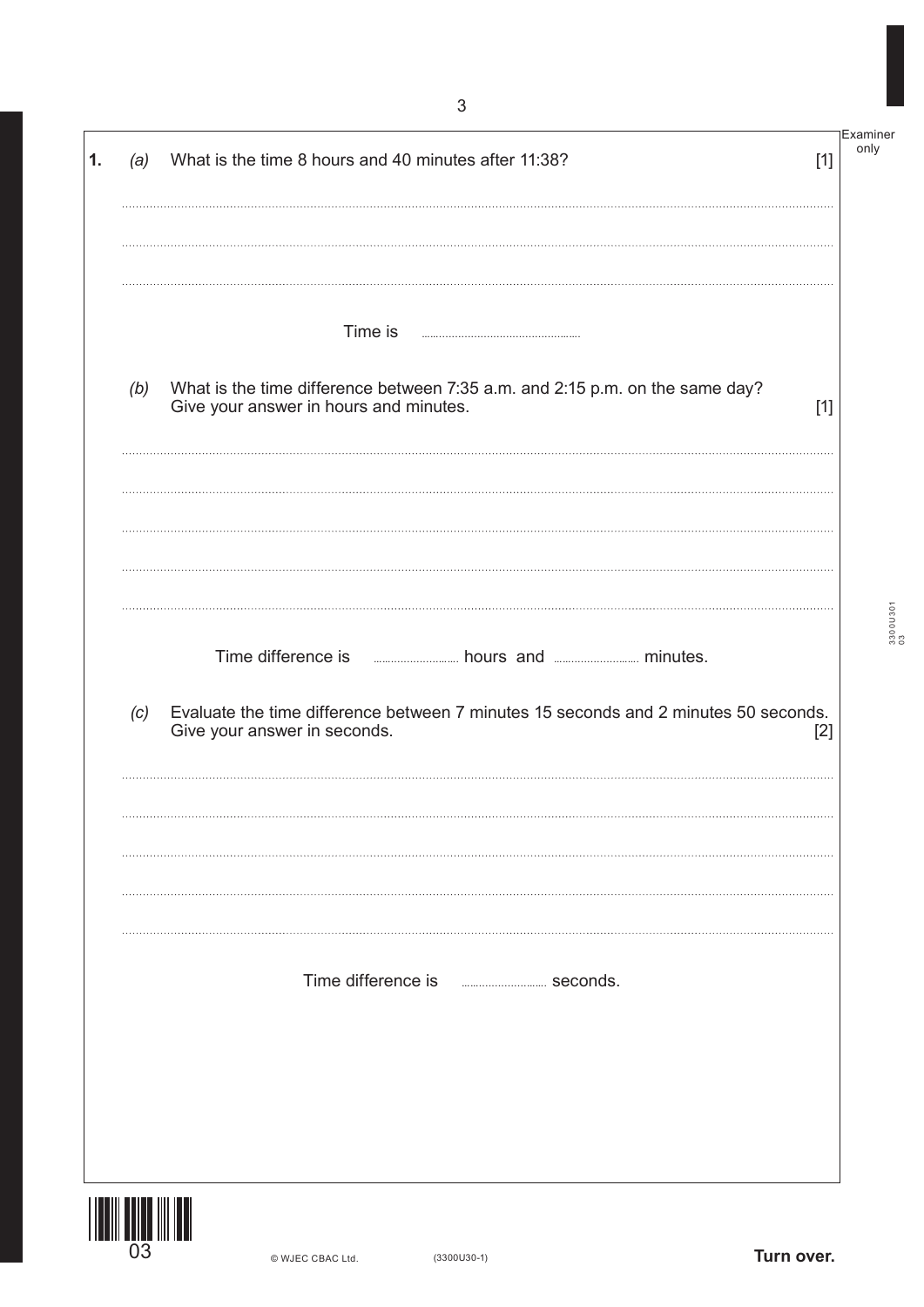Examiner only **1.** *(a)* What is the time 8 hours and 40 minutes after 11:38? [1] Time is **……......................................…….** *(b)* What is the time difference between 7:35 a.m. and 2:15 p.m. on the same day? Give your answer in hours and minutes. **Example 20** (1) **Contract 1** (1) **Contract 1** (1) Time difference is **……...............…….** hours and **……...............…….** minutes. *(c)* Evaluate the time difference between 7 minutes 15 seconds and 2 minutes 50 seconds. Give your answer in seconds. **Example 2** and  $\begin{bmatrix} 2 \end{bmatrix}$ Time difference is **……...............…….** seconds.

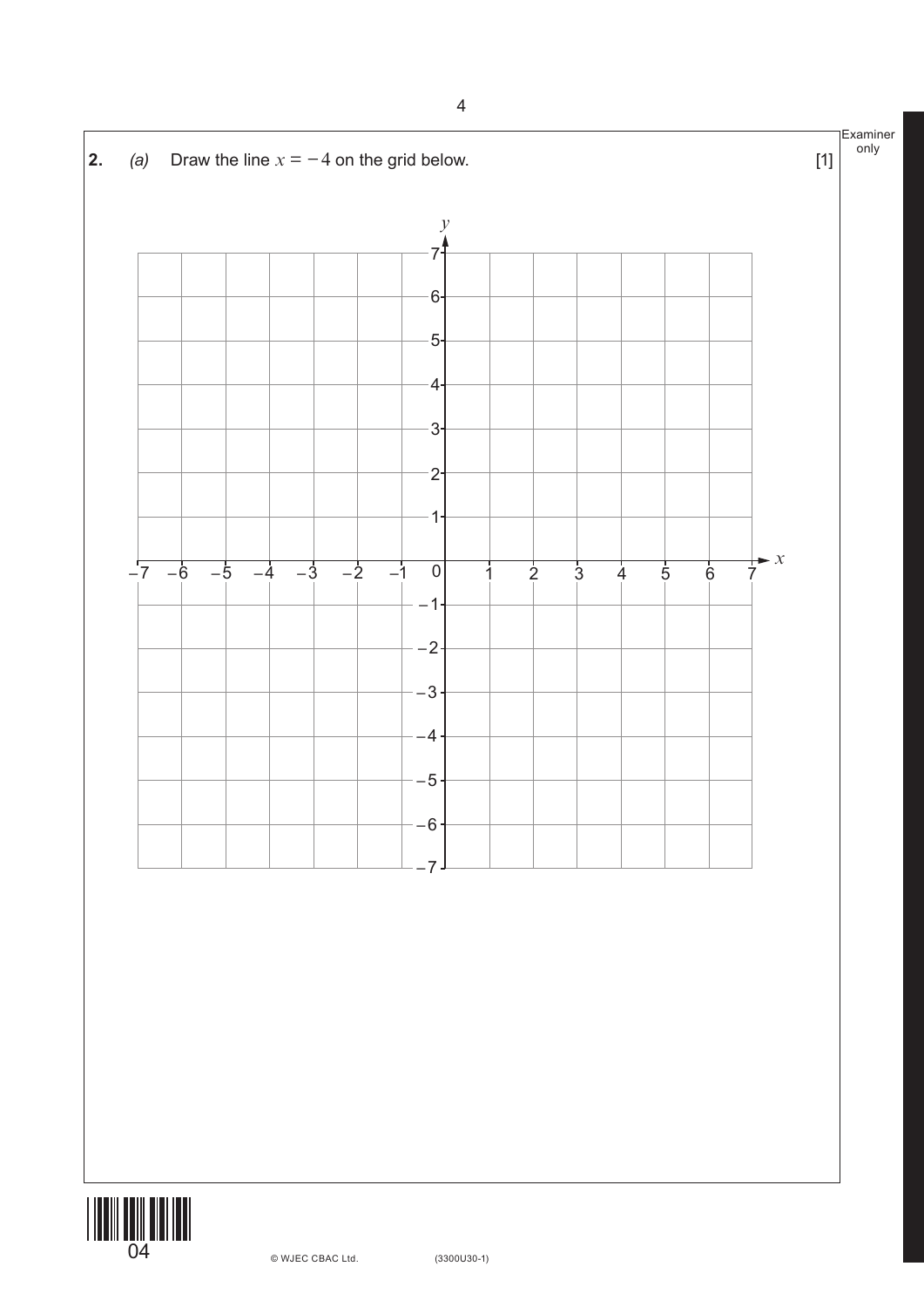

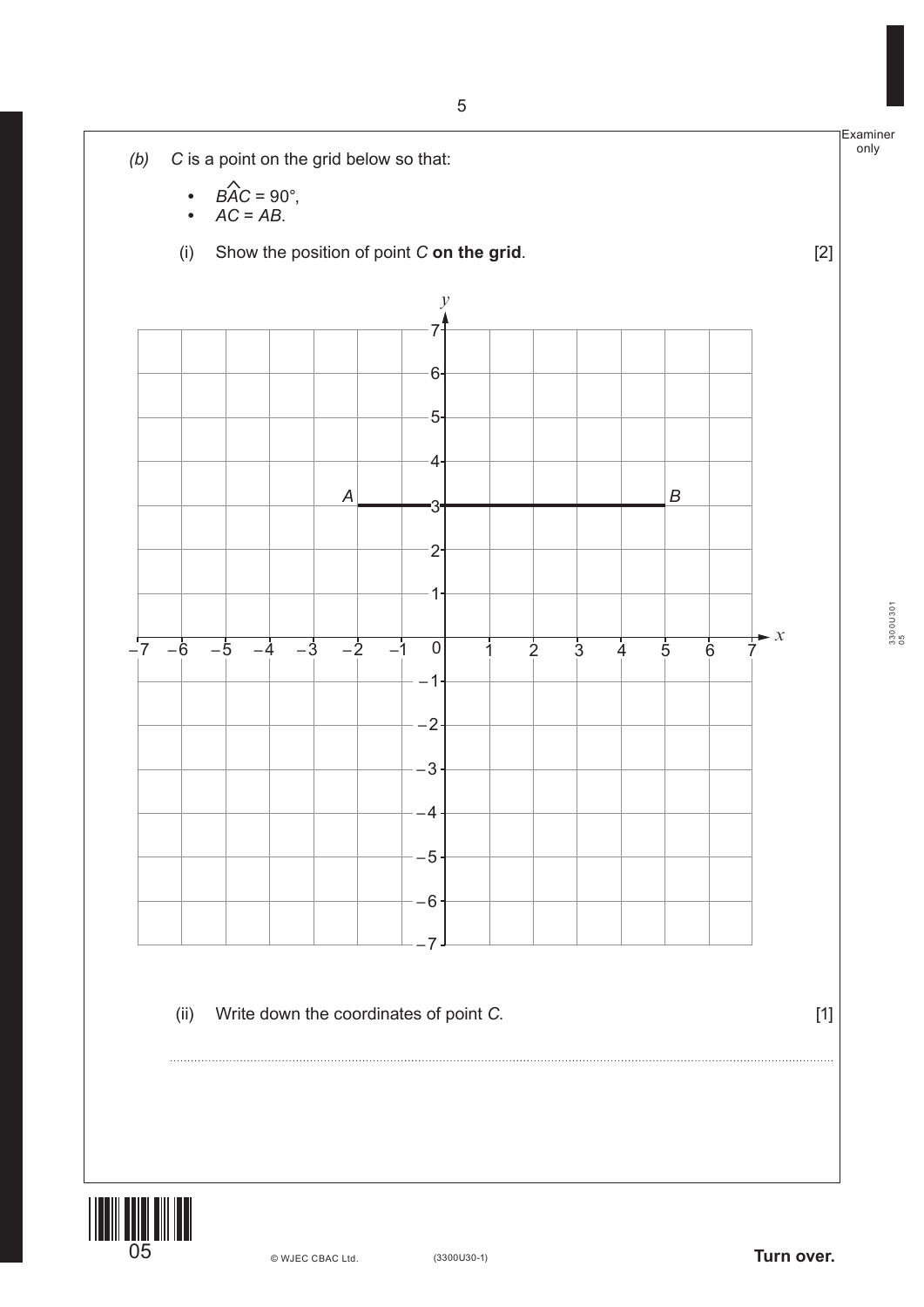

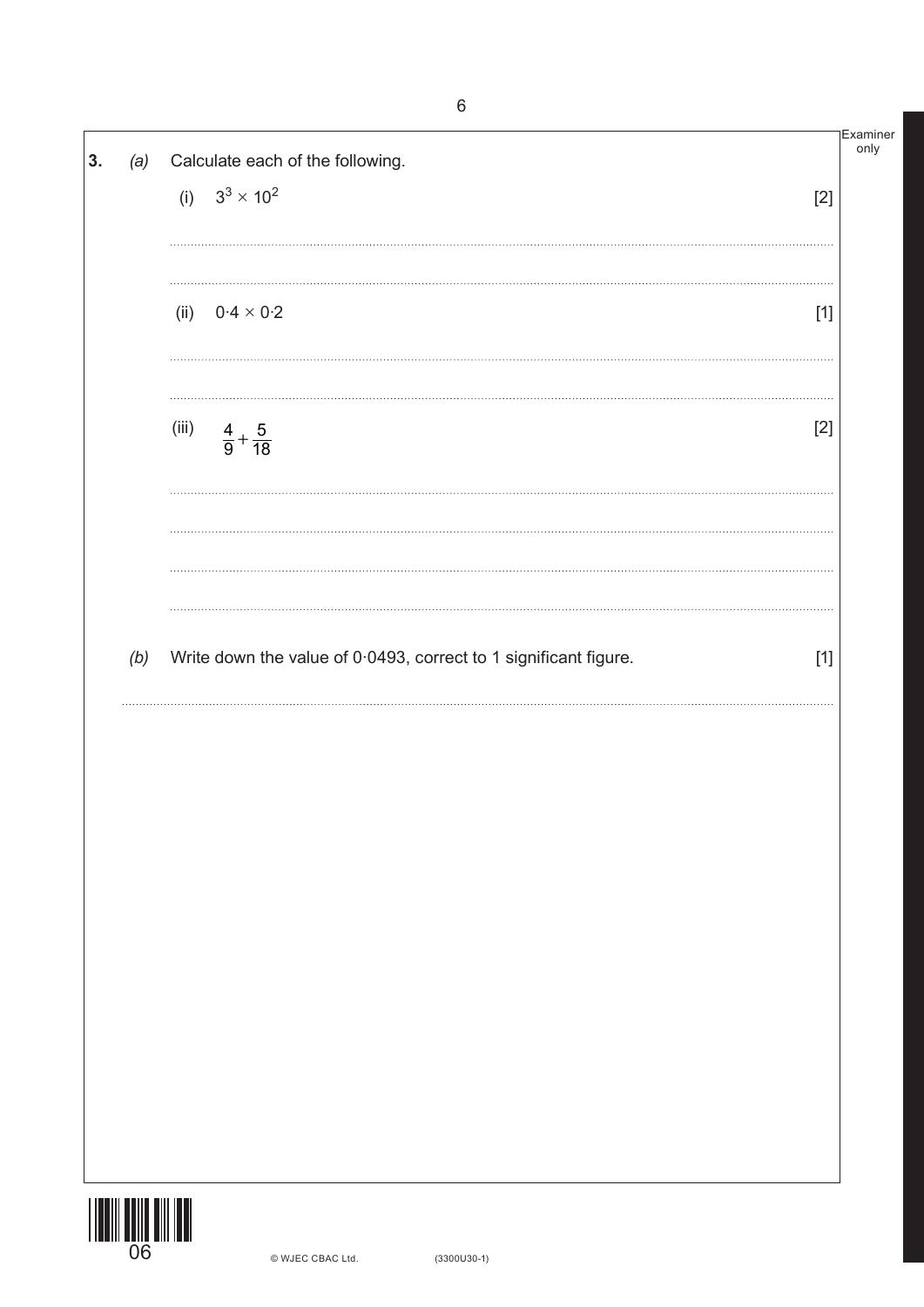| 3. | (a) | Calculate each of the following.                                 | Examiner<br>only |
|----|-----|------------------------------------------------------------------|------------------|
|    |     | (i) $3^3 \times 10^2$<br>                                        | $[2]$            |
|    |     | $0.4 \times 0.2$<br>(ii)                                         | $[1]$            |
|    |     | (iii)<br>$rac{4}{9} + \frac{5}{18}$                              | $[2]$            |
|    |     | $\cdots$                                                         |                  |
|    | (b) | Write down the value of 0.0493, correct to 1 significant figure. | $[1]$            |
|    |     |                                                                  |                  |
|    |     |                                                                  |                  |
|    |     |                                                                  |                  |
|    |     |                                                                  |                  |
|    |     |                                                                  |                  |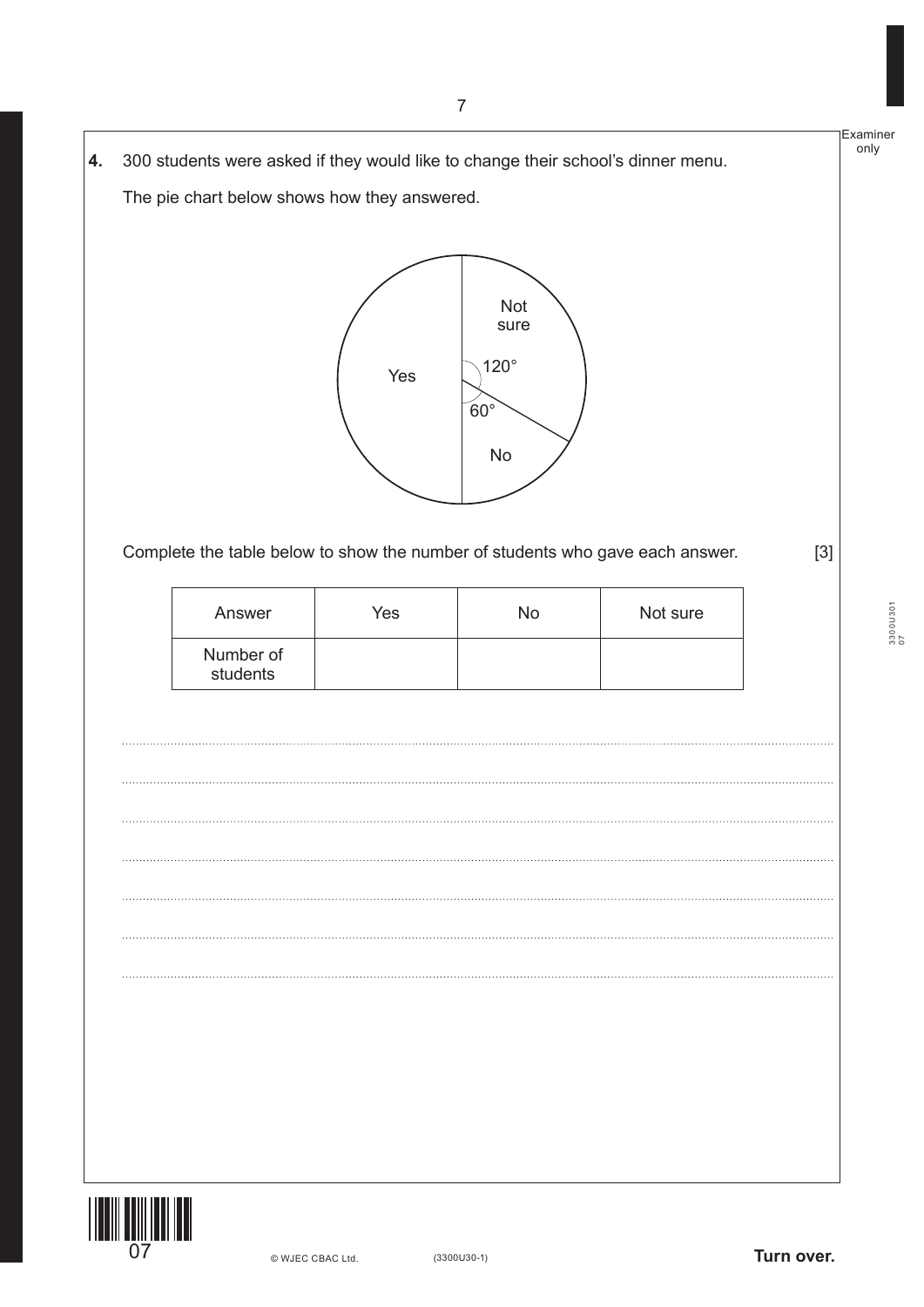**4.** 300 students were asked if they would like to change their school's dinner menu. The pie chart below shows how they answered.



7

Complete the table below to show the number of students who gave each answer. [3]

Examiner only

> 3300U301 3300U301<br>07

| Answer                | Yes | No | Not sure |
|-----------------------|-----|----|----------|
| Number of<br>students |     |    |          |

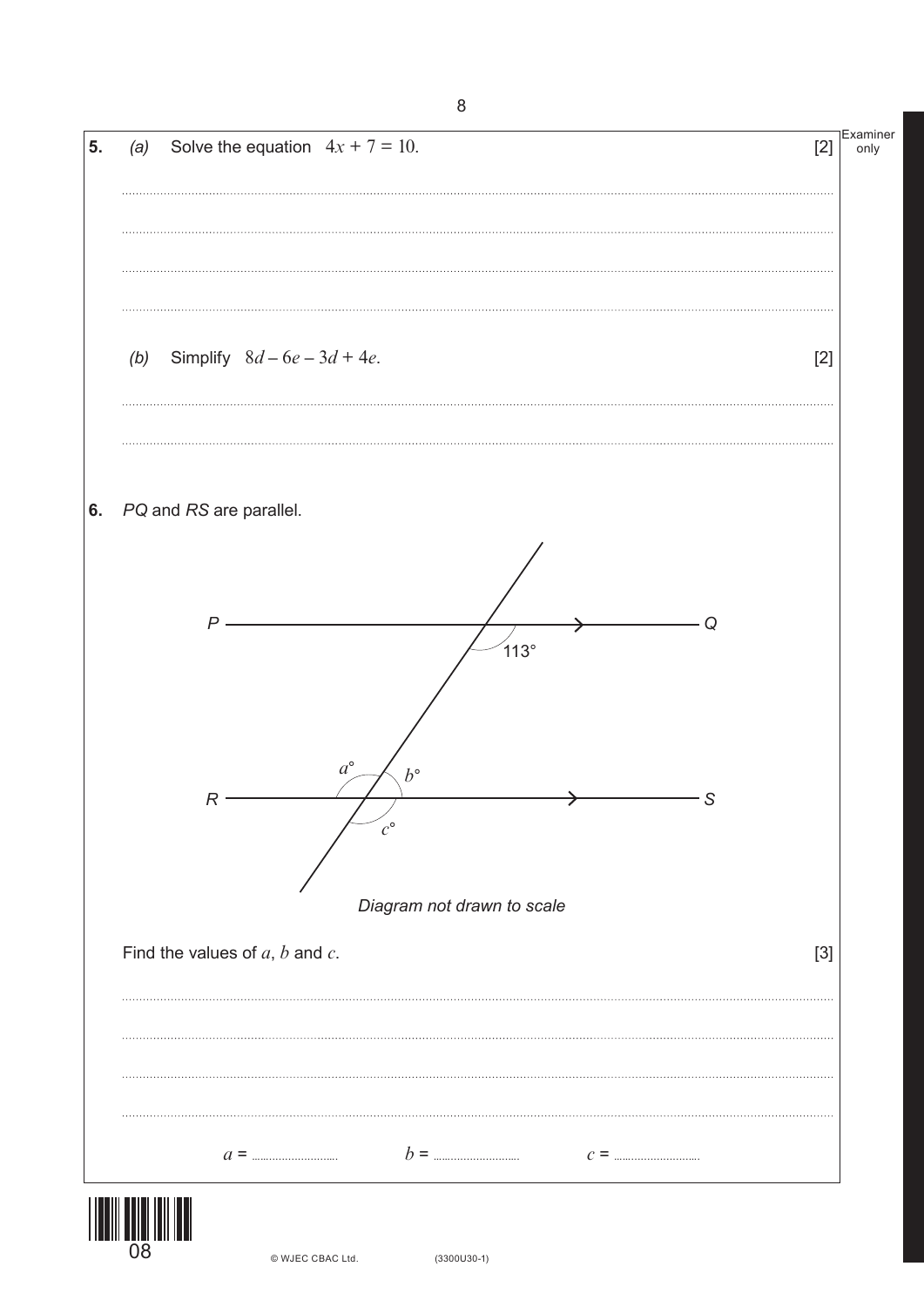

 $\overline{\text{08}}$   $\text{08}$   $\text{09}$   $\text{09}$   $\text{09}$   $\text{08}$   $\text{09}$   $\text{09}$   $\text{09}$   $\text{09}$   $\text{09}$   $\text{09}$   $\text{09}$   $\text{09}$   $\text{09}$   $\text{09}$   $\text{09}$   $\text{09}$   $\text{09}$   $\text{09}$   $\text{09}$   $\text{09}$   $\text{09}$   $\text{09}$   $\$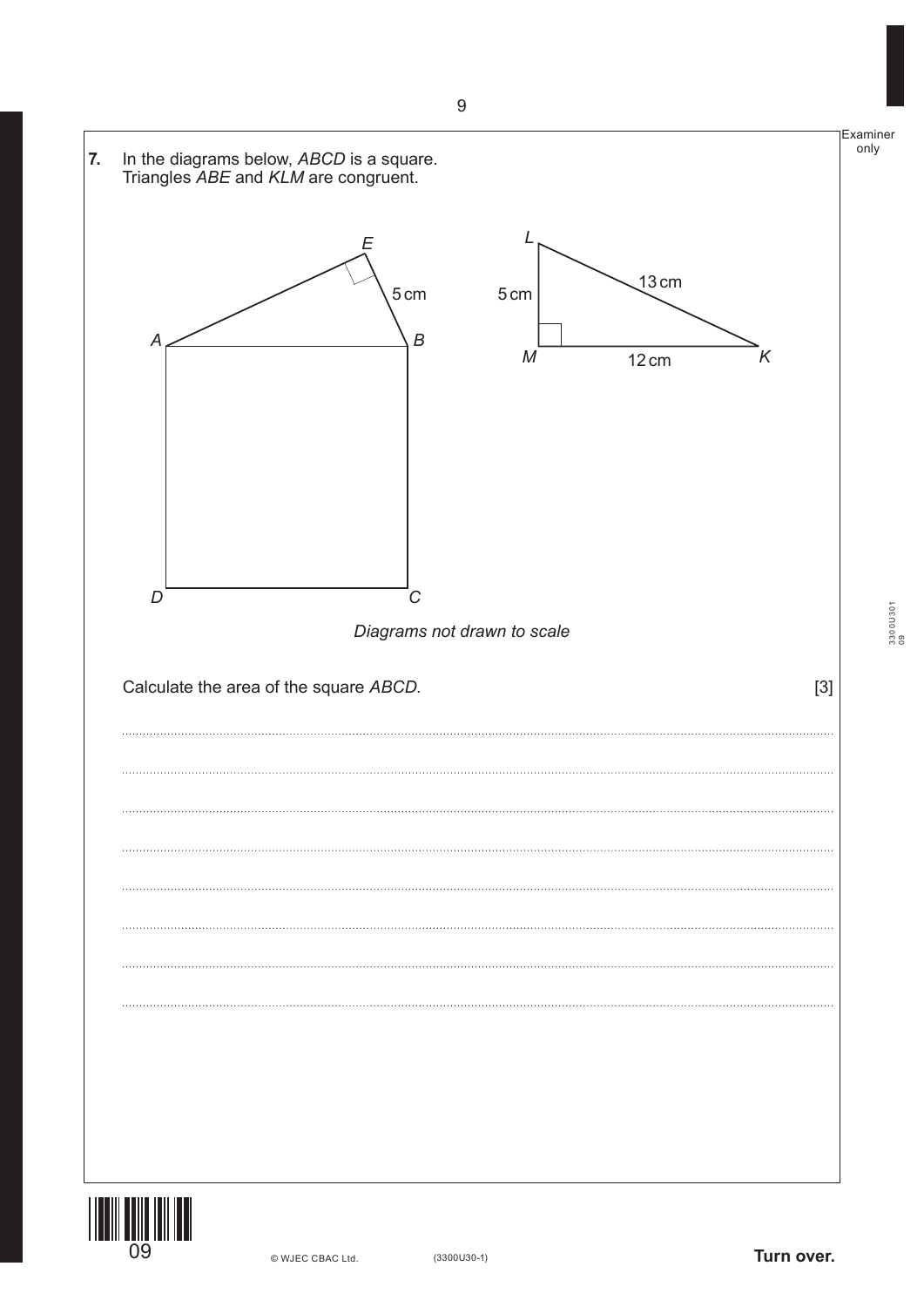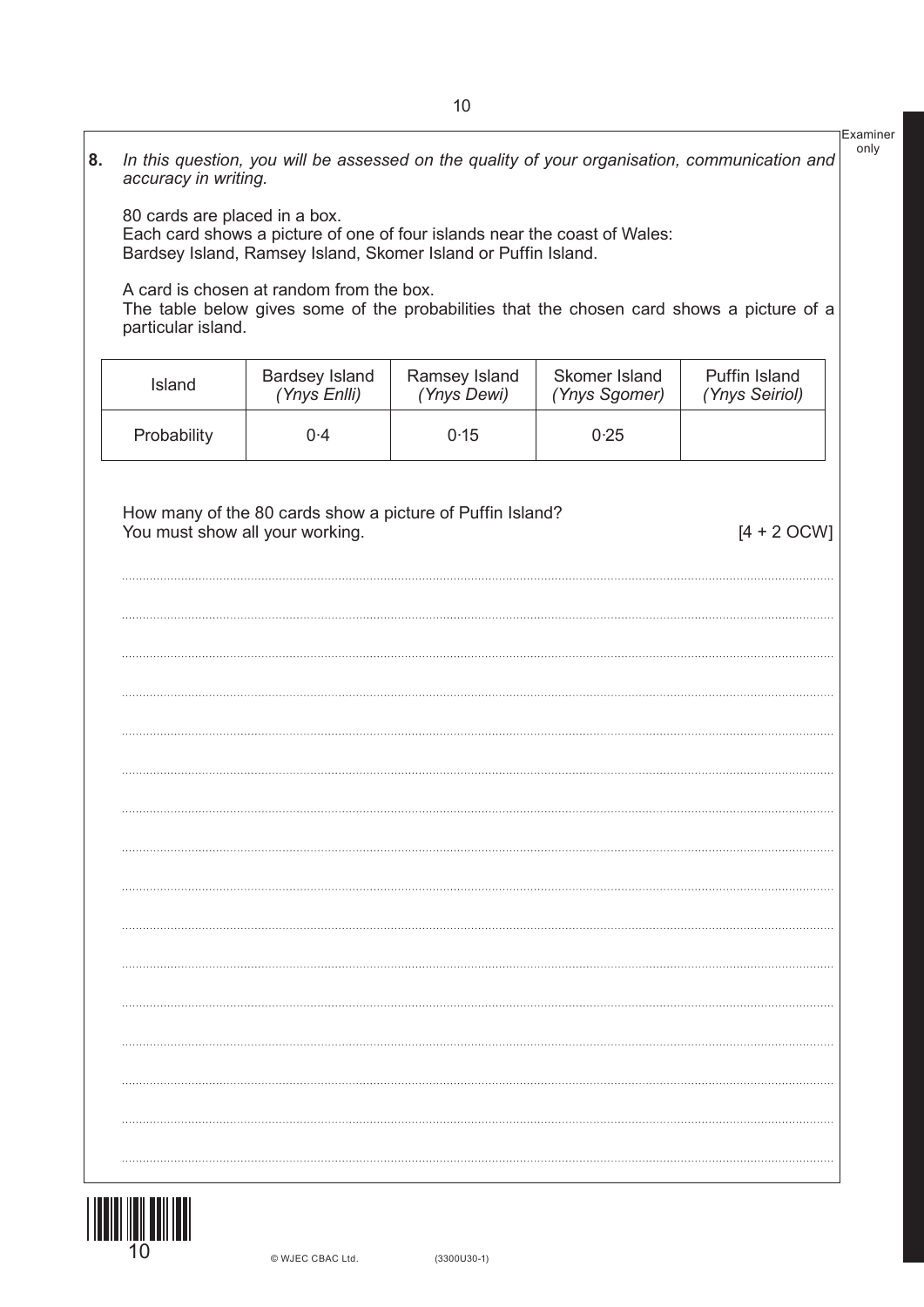only **8.** *In this question, you will be assessed on the quality of your organisation, communication and accuracy in writing.*

Examiner

80 cards are placed in a box. Each card shows a picture of one of four islands near the coast of Wales: Bardsey Island, Ramsey Island, Skomer Island or Puffin Island.

A card is chosen at random from the box.

The table below gives some of the probabilities that the chosen card shows a picture of a particular island.

| Island      | <b>Bardsey Island</b> | Ramsey Island | Skomer Island | <b>Puffin Island</b> |
|-------------|-----------------------|---------------|---------------|----------------------|
|             | (Ynys Enlli)          | (Ynys Dewi)   | (Ynys Sgomer) | (Ynys Seiriol)       |
| Probability | $0-4$                 | 0.15          | 0.25          |                      |

| How many of the 80 cards show a picture of Puffin Island?<br>You must show all your working. | $[4 + 2 OCW]$ |
|----------------------------------------------------------------------------------------------|---------------|
|                                                                                              |               |
|                                                                                              |               |
|                                                                                              |               |
|                                                                                              |               |
|                                                                                              |               |
|                                                                                              |               |
|                                                                                              |               |
|                                                                                              |               |
|                                                                                              |               |
|                                                                                              |               |
|                                                                                              |               |
|                                                                                              |               |
|                                                                                              |               |
|                                                                                              |               |

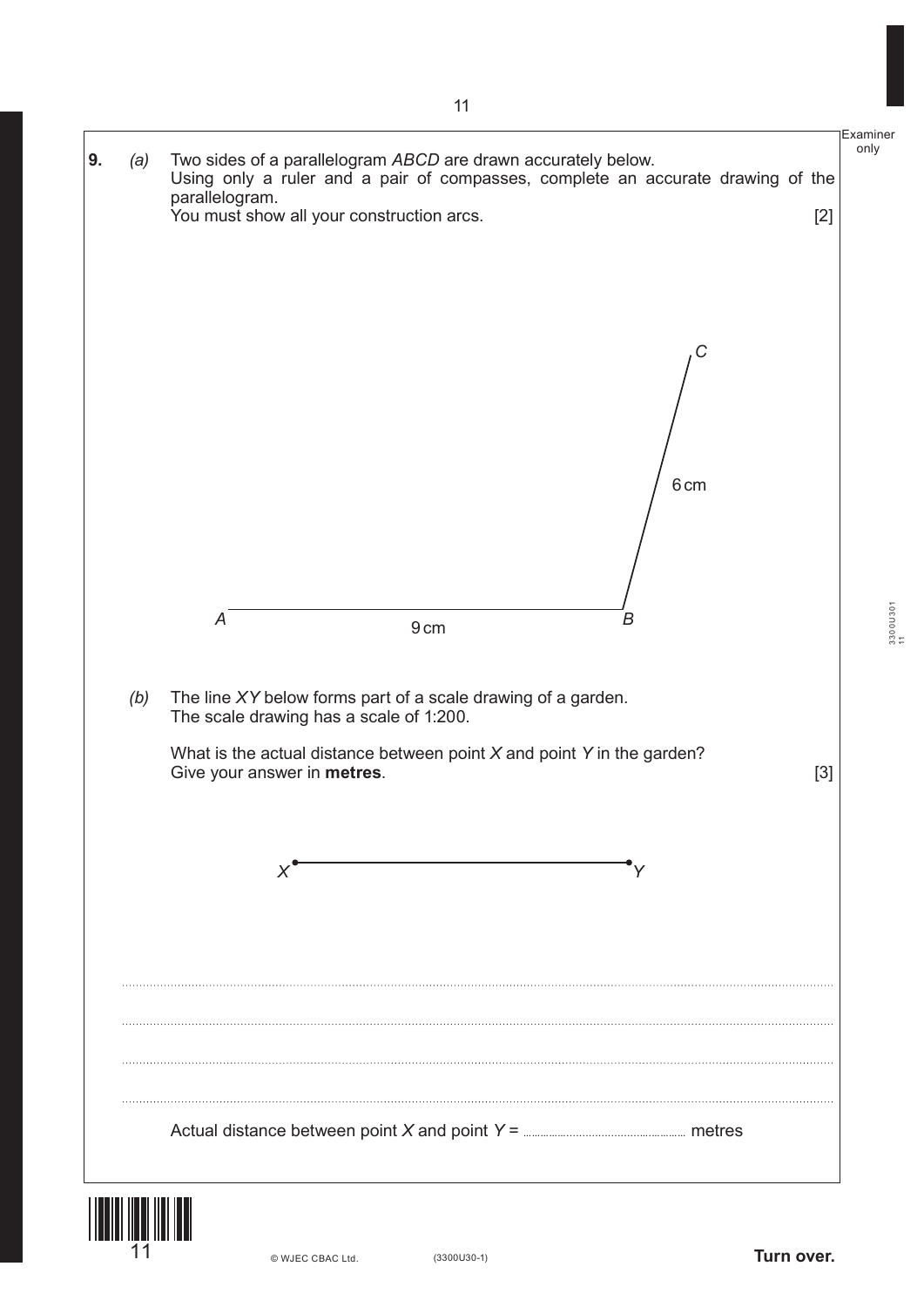

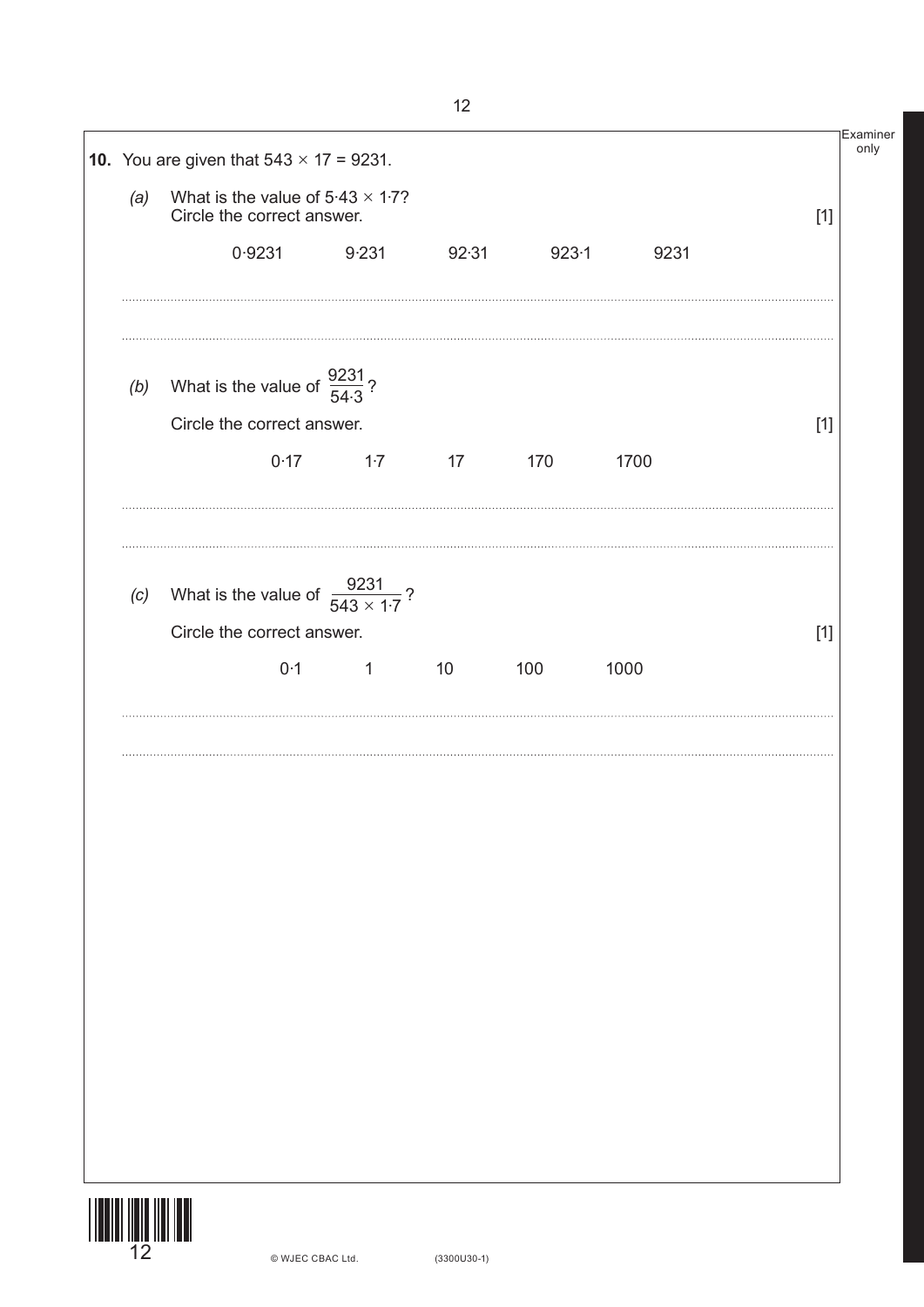| (a) | <b>10.</b> You are given that $543 \times 17 = 9231$ .<br>What is the value of $5.43 \times 1.7$ ? |              |       |       |      |       |
|-----|----------------------------------------------------------------------------------------------------|--------------|-------|-------|------|-------|
|     | Circle the correct answer.                                                                         |              |       |       |      | $[1]$ |
|     | 0.9231                                                                                             | 9.231        | 92.31 | 923.1 | 9231 |       |
|     | (b) What is the value of $\frac{9231}{54.3}$ ?                                                     |              |       |       |      |       |
|     | Circle the correct answer.                                                                         |              |       |       |      | $[1]$ |
|     | 0.17                                                                                               | 1.7          | 17    | 170   | 1700 |       |
|     | (c) What is the value of $\frac{9231}{543 \times 1.7}$ ?                                           |              |       |       |      |       |
|     | Circle the correct answer.                                                                         |              |       |       |      | $[1]$ |
|     | $0-1$                                                                                              | $\mathbf{1}$ | 10    | 100   | 1000 |       |
|     |                                                                                                    |              |       |       |      |       |
|     |                                                                                                    |              |       |       |      |       |
|     |                                                                                                    |              |       |       |      |       |
|     |                                                                                                    |              |       |       |      |       |
|     |                                                                                                    |              |       |       |      |       |
|     |                                                                                                    |              |       |       |      |       |
|     |                                                                                                    |              |       |       |      |       |
|     |                                                                                                    |              |       |       |      |       |
|     |                                                                                                    |              |       |       |      |       |
|     |                                                                                                    |              |       |       |      |       |
|     |                                                                                                    |              |       |       |      |       |
|     |                                                                                                    |              |       |       |      |       |
|     |                                                                                                    |              |       |       |      |       |
|     |                                                                                                    |              |       |       |      |       |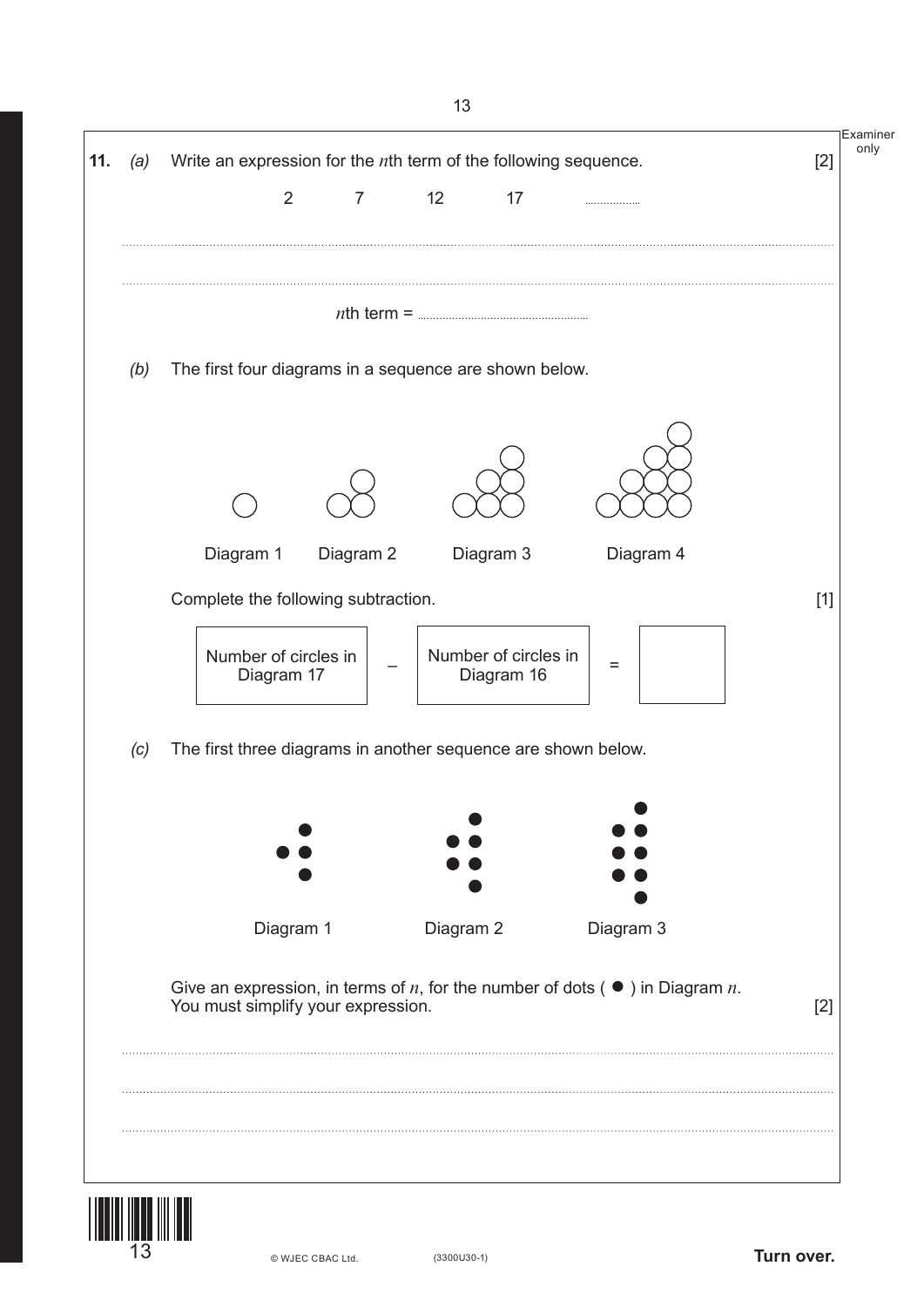Examiner only **11.** *(a)* Write an expression for the *n*th term of the following sequence. [2] 2 7 12 17 **…............…** *n*th term = **…................................................…** *(b)* The first four diagrams in a sequence are shown below. Diagram 1 Diagram 2 Diagram 3 Diagram 4Complete the following subtraction. [1] Number of circles in Number of circles in Diagram  $16$  = Diagram 17 *(c)* The first three diagrams in another sequence are shown below. Diagram 1 Diagram 2 Diagram 3 Give an expression, in terms of *n*, for the number of dots ( ● ) in Diagram *n*. You must simplify your expression. [2] 

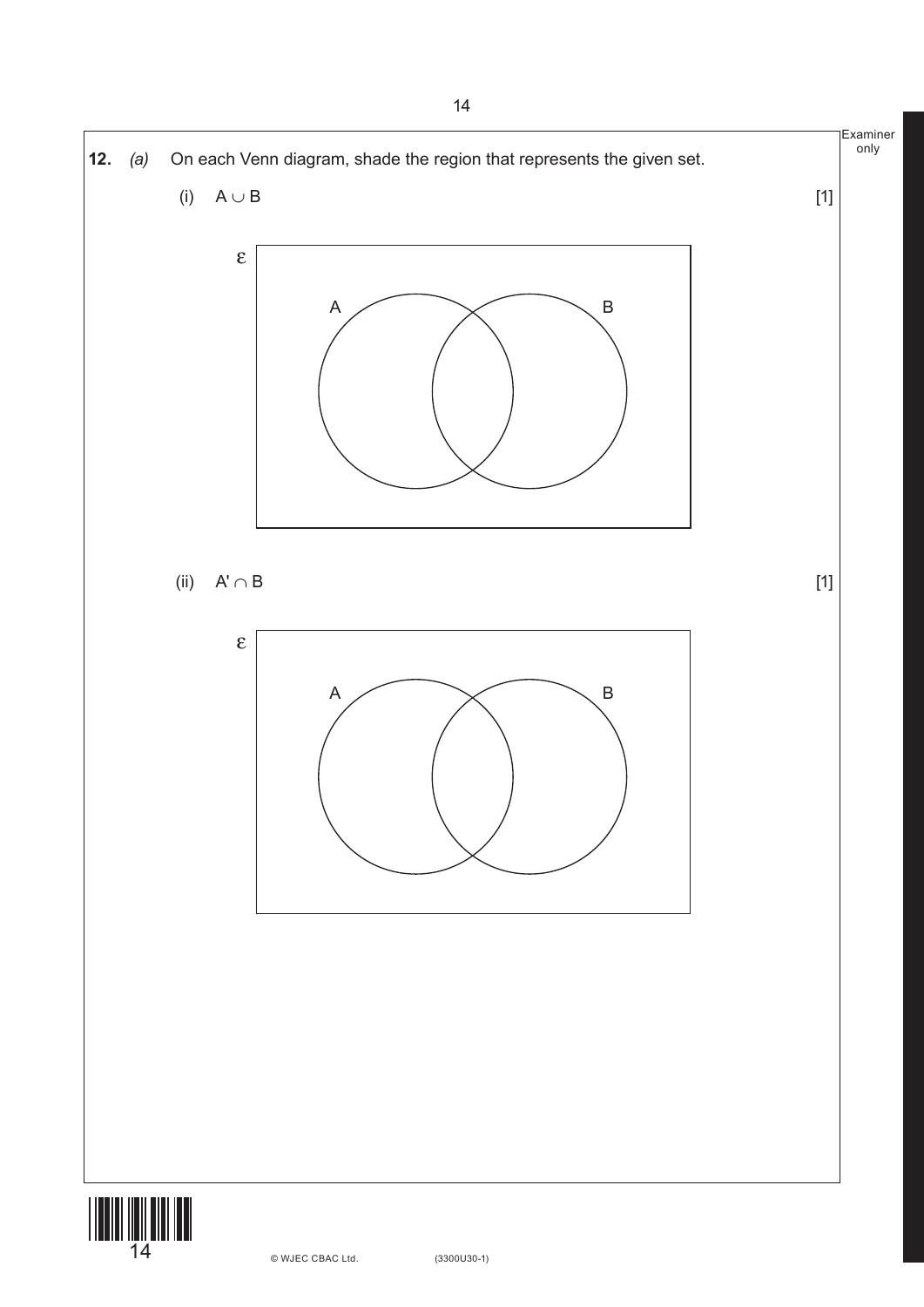

**14**  $\circ$  WJEC CBAC Ltd. (3300U30-1)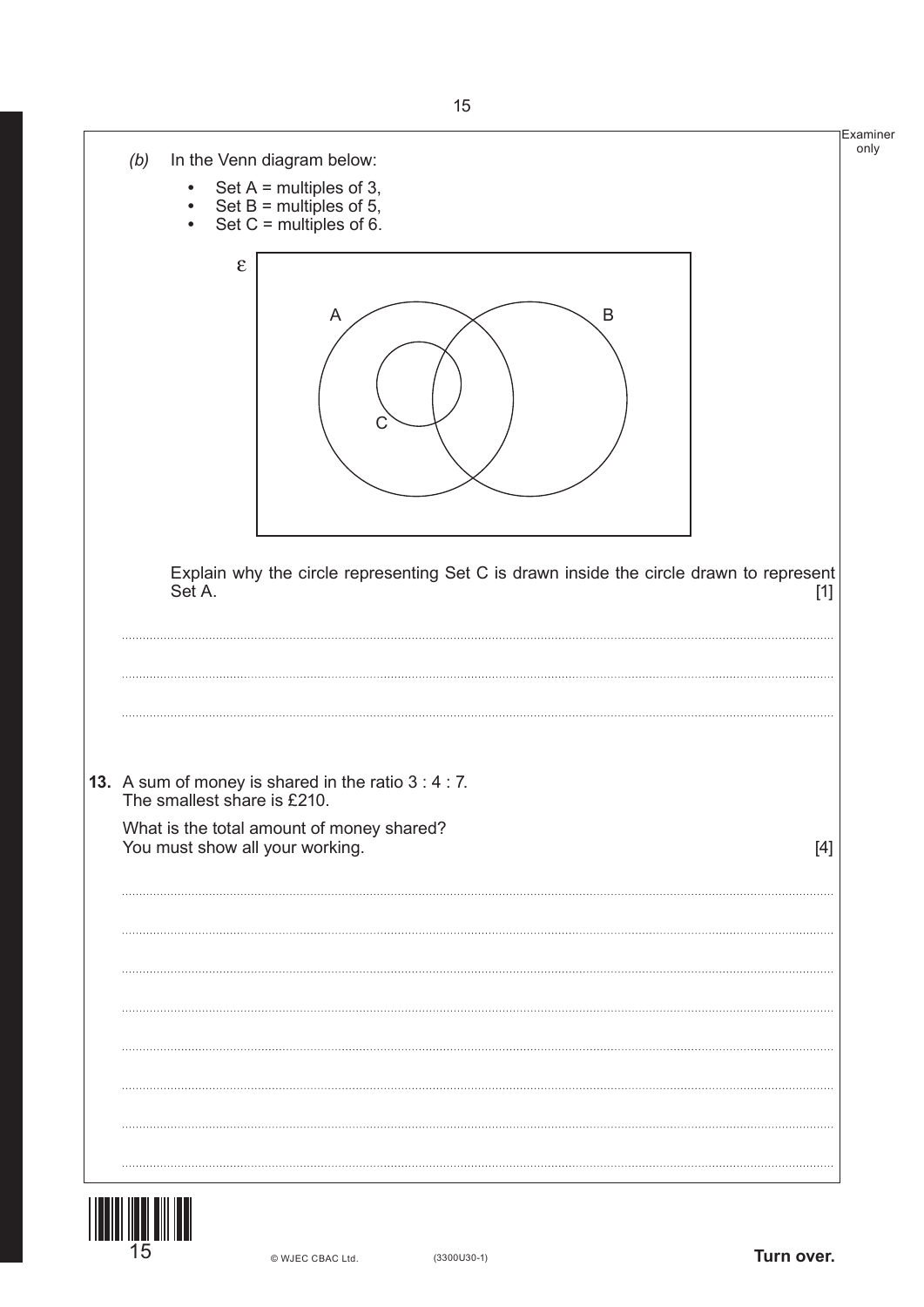

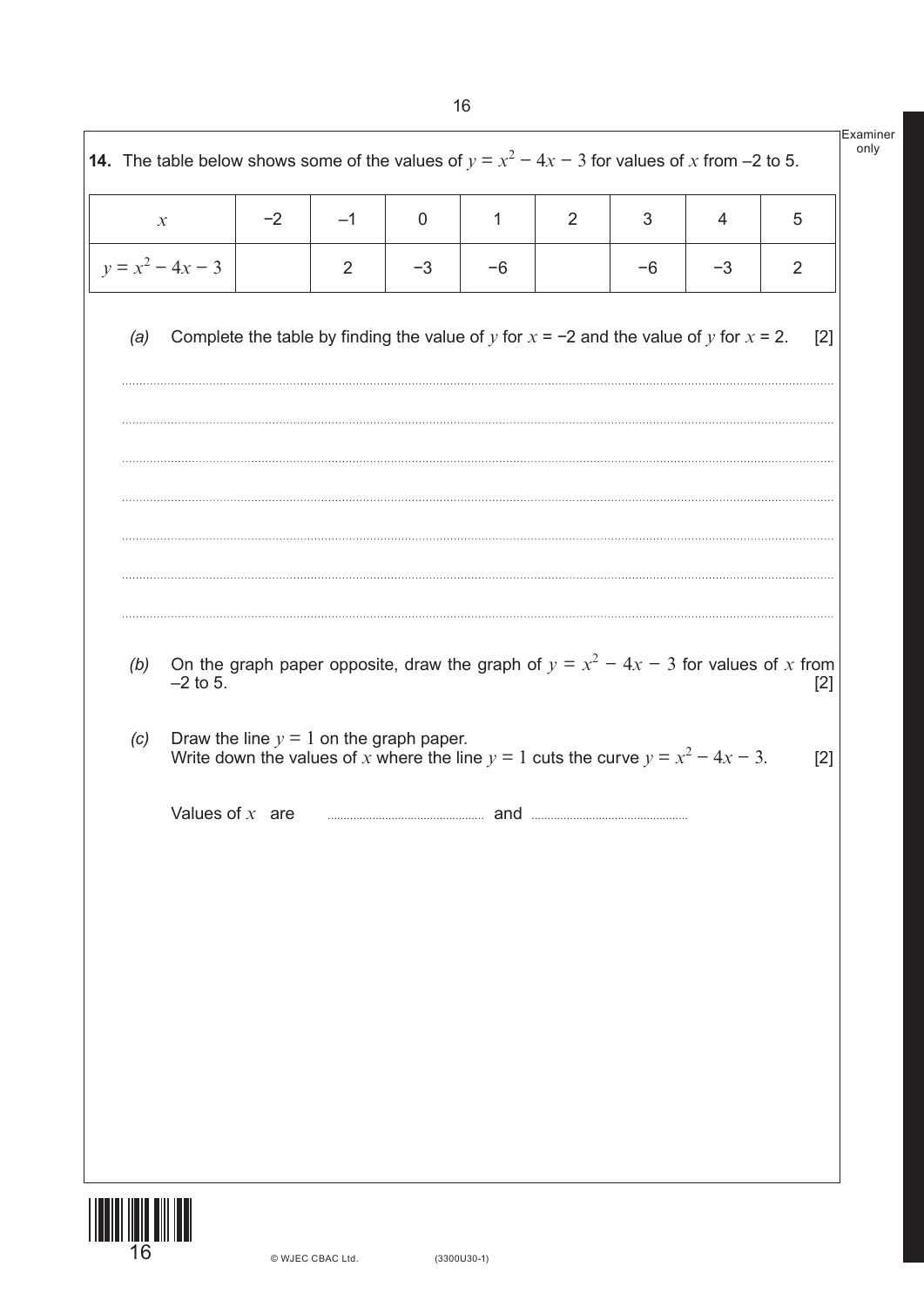| $\boldsymbol{\mathcal{X}}$ | $-2$ | $-1$           | $\mathbf 0$                               | $\mathbf{1}$ | 2 | 3                                                                                                                                                                                                                                                                                                                                     | 4    | 5              |
|----------------------------|------|----------------|-------------------------------------------|--------------|---|---------------------------------------------------------------------------------------------------------------------------------------------------------------------------------------------------------------------------------------------------------------------------------------------------------------------------------------|------|----------------|
| $y = x^2 - 4x - 3$         |      | $\overline{2}$ | $-3$                                      | $-6$         |   | $-6$                                                                                                                                                                                                                                                                                                                                  | $-3$ | $\overline{2}$ |
| (a)                        |      |                |                                           |              |   | Complete the table by finding the value of y for $x = -2$ and the value of y for $x = 2$ .                                                                                                                                                                                                                                            |      | $[2]$          |
|                            |      |                |                                           |              |   |                                                                                                                                                                                                                                                                                                                                       |      |                |
|                            |      |                |                                           |              |   |                                                                                                                                                                                                                                                                                                                                       |      |                |
|                            |      |                |                                           |              |   |                                                                                                                                                                                                                                                                                                                                       |      |                |
| (b)<br>$-2$ to 5.          |      |                |                                           |              |   | On the graph paper opposite, draw the graph of $y = x^2 - 4x - 3$ for values of x from                                                                                                                                                                                                                                                |      | $[2]$          |
| (c)                        |      |                | Draw the line $y = 1$ on the graph paper. |              |   | Write down the values of x where the line $y = 1$ cuts the curve $y = x^2 - 4x - 3$ .                                                                                                                                                                                                                                                 |      | $[2]$          |
|                            |      |                |                                           |              |   | Values of $x$ are $\qquad \qquad$ $\qquad$ $\qquad$ $\qquad$ $\qquad$ $\qquad$ $\qquad$ $\qquad$ $\qquad$ $\qquad$ $\qquad$ $\qquad$ $\qquad$ $\qquad$ $\qquad$ $\qquad$ $\qquad$ $\qquad$ $\qquad$ $\qquad$ $\qquad$ $\qquad$ $\qquad$ $\qquad$ $\qquad$ $\qquad$ $\qquad$ $\qquad$ $\qquad$ $\qquad$ $\qquad$ $\qquad$ $\qquad$ $\$ |      |                |
|                            |      |                |                                           |              |   |                                                                                                                                                                                                                                                                                                                                       |      |                |
|                            |      |                |                                           |              |   |                                                                                                                                                                                                                                                                                                                                       |      |                |
|                            |      |                |                                           |              |   |                                                                                                                                                                                                                                                                                                                                       |      |                |
|                            |      |                |                                           |              |   |                                                                                                                                                                                                                                                                                                                                       |      |                |
|                            |      |                |                                           |              |   |                                                                                                                                                                                                                                                                                                                                       |      |                |

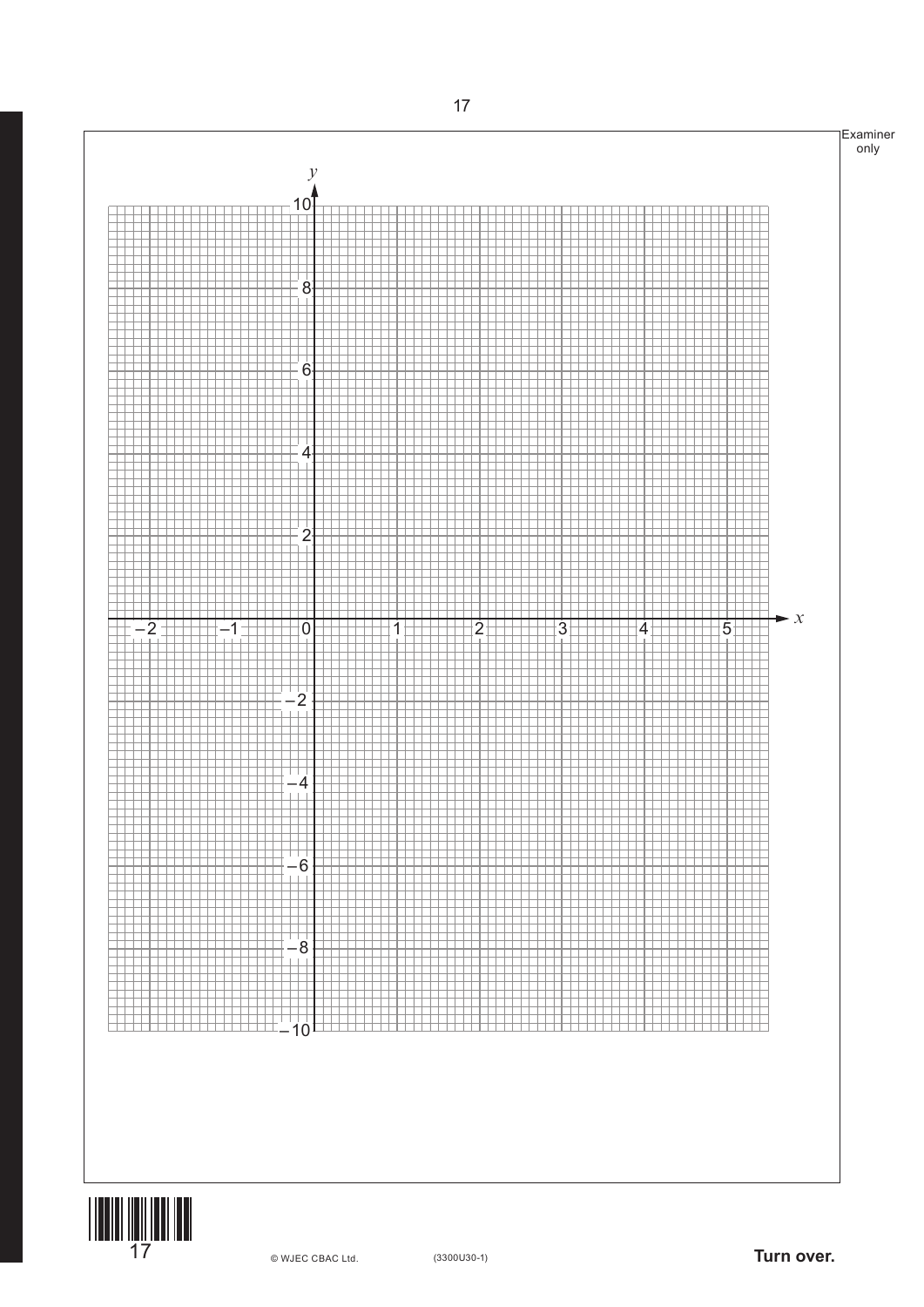

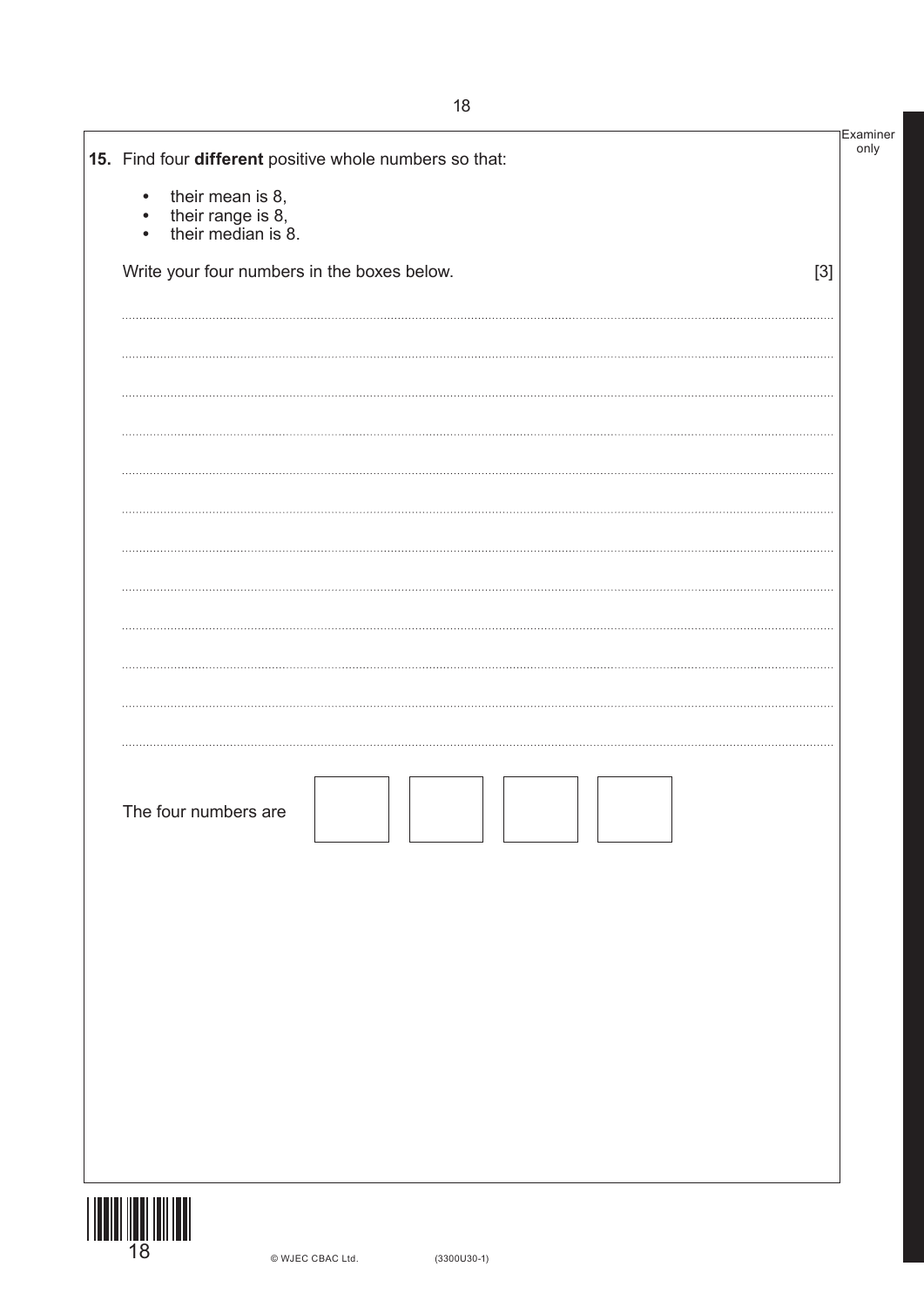| $\bullet$<br>$\bullet$<br>$\bullet$ | their mean is 8,<br>their range is $8$ ,<br>their median is $8$ . |  |  |  |       |
|-------------------------------------|-------------------------------------------------------------------|--|--|--|-------|
|                                     | Write your four numbers in the boxes below.                       |  |  |  | $[3]$ |
|                                     |                                                                   |  |  |  |       |
|                                     |                                                                   |  |  |  |       |
|                                     |                                                                   |  |  |  |       |
|                                     |                                                                   |  |  |  |       |
|                                     |                                                                   |  |  |  |       |
|                                     |                                                                   |  |  |  |       |
|                                     |                                                                   |  |  |  |       |
|                                     |                                                                   |  |  |  |       |
|                                     |                                                                   |  |  |  |       |
|                                     |                                                                   |  |  |  |       |
|                                     |                                                                   |  |  |  |       |
|                                     | The four numbers are                                              |  |  |  |       |
|                                     |                                                                   |  |  |  |       |
|                                     |                                                                   |  |  |  |       |
|                                     |                                                                   |  |  |  |       |
|                                     |                                                                   |  |  |  |       |
|                                     |                                                                   |  |  |  |       |
|                                     |                                                                   |  |  |  |       |
|                                     |                                                                   |  |  |  |       |
|                                     |                                                                   |  |  |  |       |

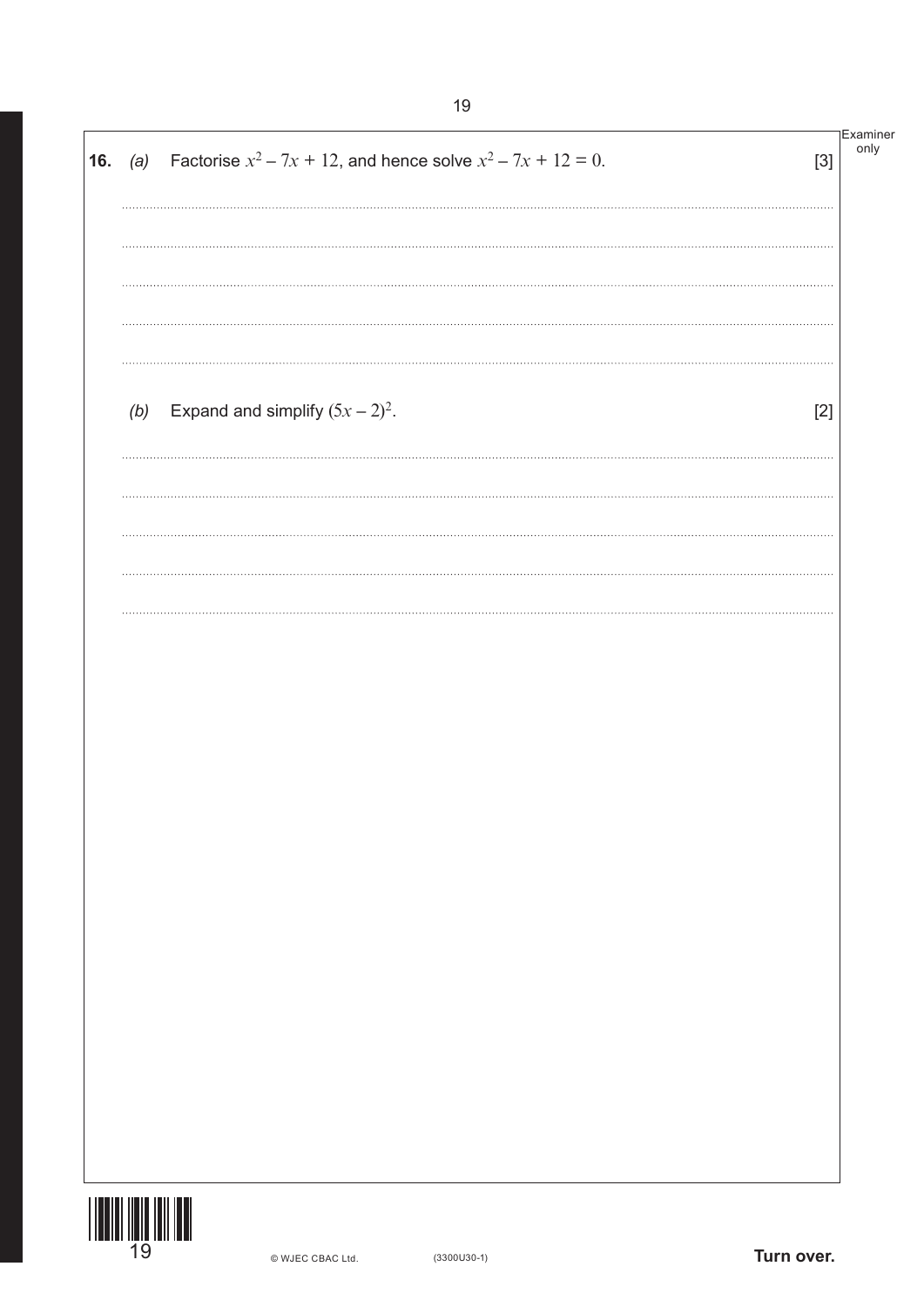Examiner only **16.** *(a)* Factorise  $x^2 - 7x + 12$ , and hence solve  $x^2 - 7x + 12 = 0$ . [3] *(b)* Expand and simplify  $(5x - 2)^2$ . [2]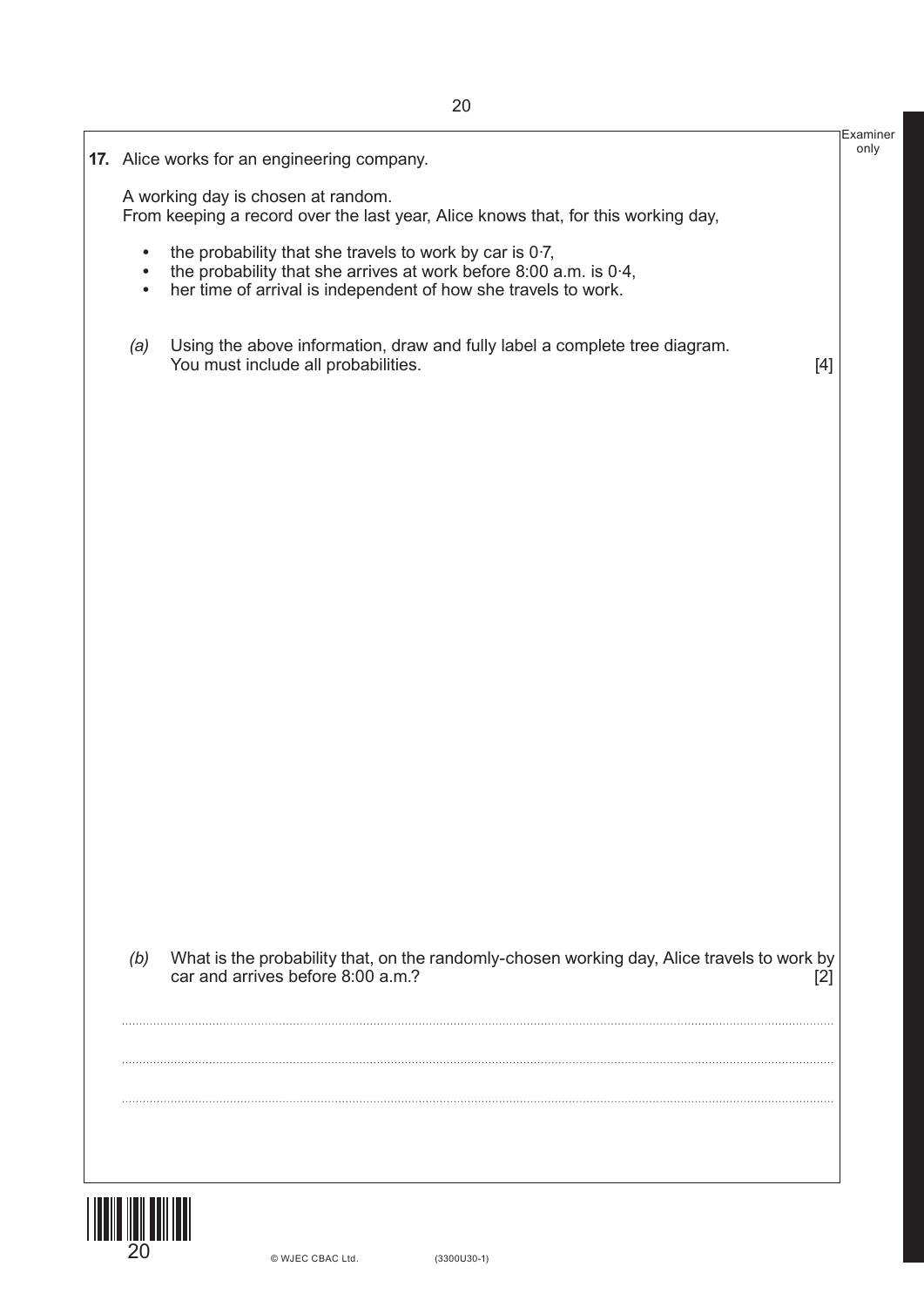|                                     | 17. Alice works for an engineering company.                                                                                                                                                       |       |
|-------------------------------------|---------------------------------------------------------------------------------------------------------------------------------------------------------------------------------------------------|-------|
|                                     | A working day is chosen at random.<br>From keeping a record over the last year, Alice knows that, for this working day,                                                                           |       |
| $\bullet$<br>$\bullet$<br>$\bullet$ | the probability that she travels to work by car is $0.7$ ,<br>the probability that she arrives at work before 8:00 a.m. is 0.4,<br>her time of arrival is independent of how she travels to work. |       |
| (a)                                 | Using the above information, draw and fully label a complete tree diagram.<br>You must include all probabilities.                                                                                 | $[4]$ |
|                                     |                                                                                                                                                                                                   |       |
|                                     |                                                                                                                                                                                                   |       |
|                                     |                                                                                                                                                                                                   |       |
|                                     |                                                                                                                                                                                                   |       |
|                                     |                                                                                                                                                                                                   |       |
|                                     |                                                                                                                                                                                                   |       |
|                                     |                                                                                                                                                                                                   |       |
| (b)                                 | What is the probability that, on the randomly-chosen working day, Alice travels to work by<br>car and arrives before 8:00 a.m.?                                                                   | [2]   |
|                                     |                                                                                                                                                                                                   |       |
|                                     |                                                                                                                                                                                                   |       |
|                                     |                                                                                                                                                                                                   |       |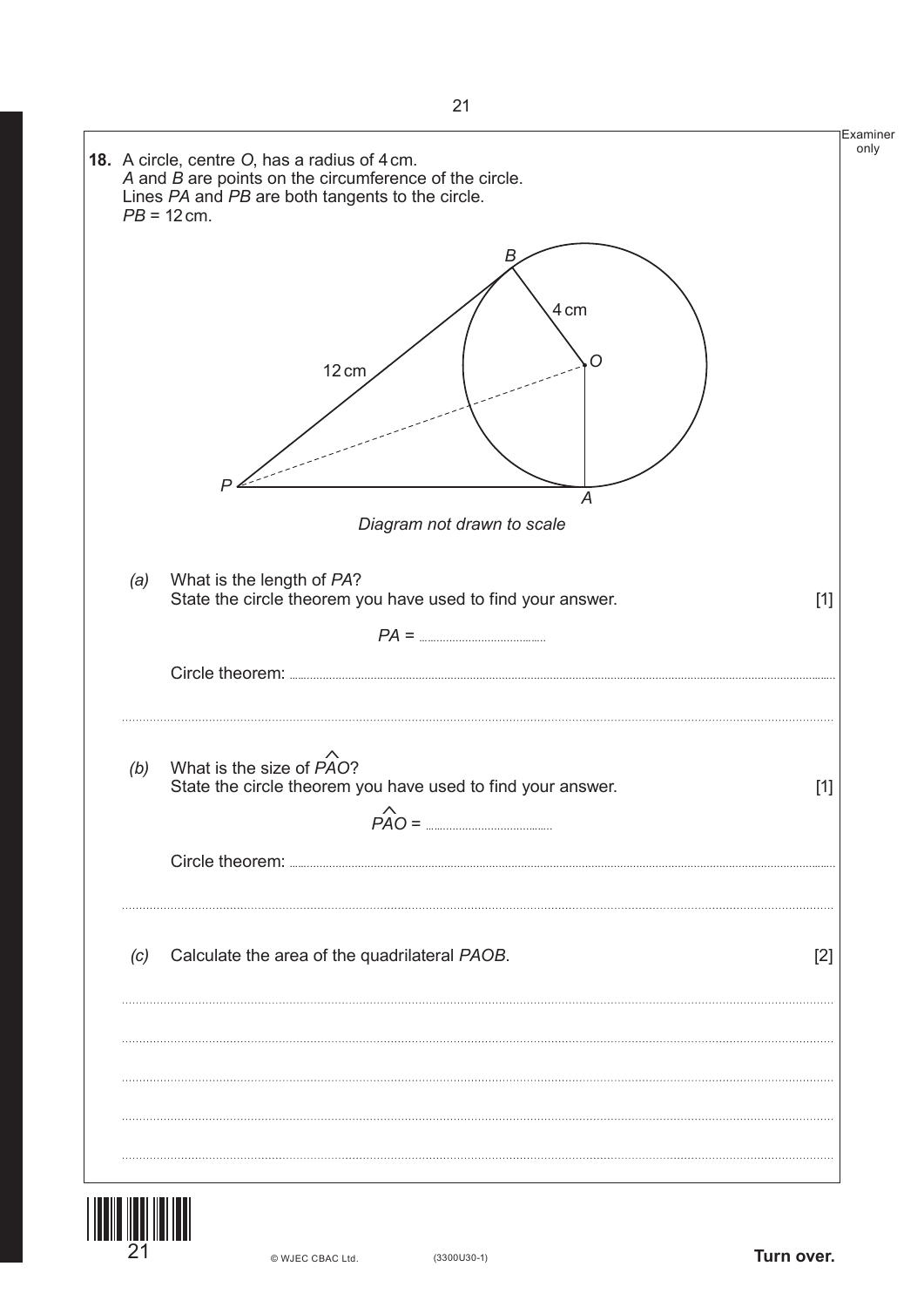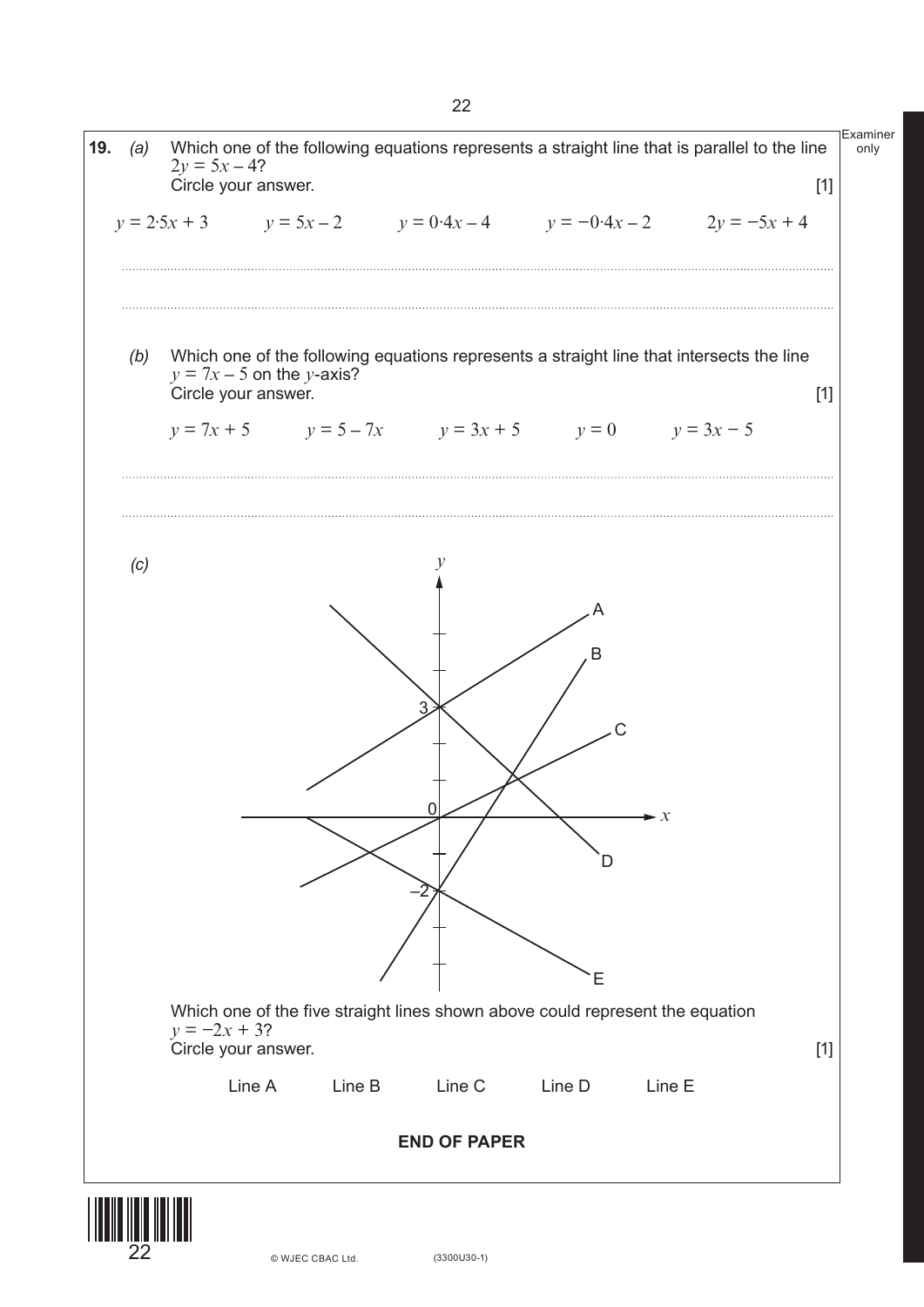

22 © WJEC CBAC Ltd. (3300U30-1)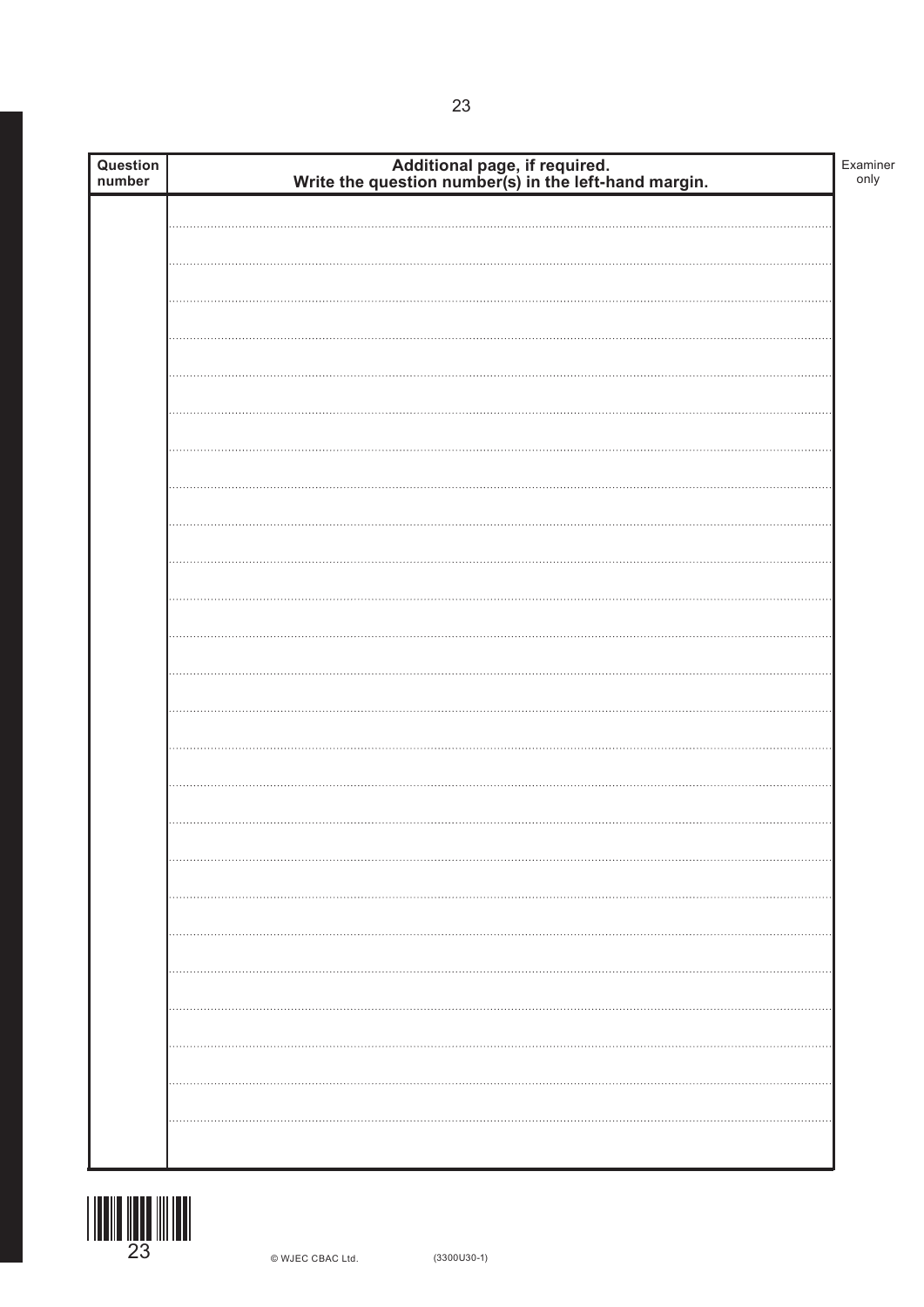| Question<br>number | Additional page, if required.<br>Write the question number(s) in the left-hand margin. | Examiner<br>only |
|--------------------|----------------------------------------------------------------------------------------|------------------|
|                    |                                                                                        |                  |
|                    |                                                                                        |                  |
|                    |                                                                                        |                  |
|                    |                                                                                        |                  |
|                    |                                                                                        |                  |
|                    |                                                                                        |                  |
|                    |                                                                                        |                  |
|                    |                                                                                        |                  |
|                    |                                                                                        |                  |
|                    |                                                                                        |                  |
|                    |                                                                                        |                  |
|                    |                                                                                        |                  |
|                    |                                                                                        |                  |
|                    |                                                                                        |                  |
|                    |                                                                                        |                  |
|                    |                                                                                        |                  |
|                    |                                                                                        |                  |
|                    |                                                                                        |                  |
|                    |                                                                                        |                  |
|                    |                                                                                        |                  |
|                    |                                                                                        |                  |
|                    |                                                                                        |                  |
|                    |                                                                                        |                  |
|                    |                                                                                        |                  |
|                    |                                                                                        |                  |
|                    |                                                                                        |                  |